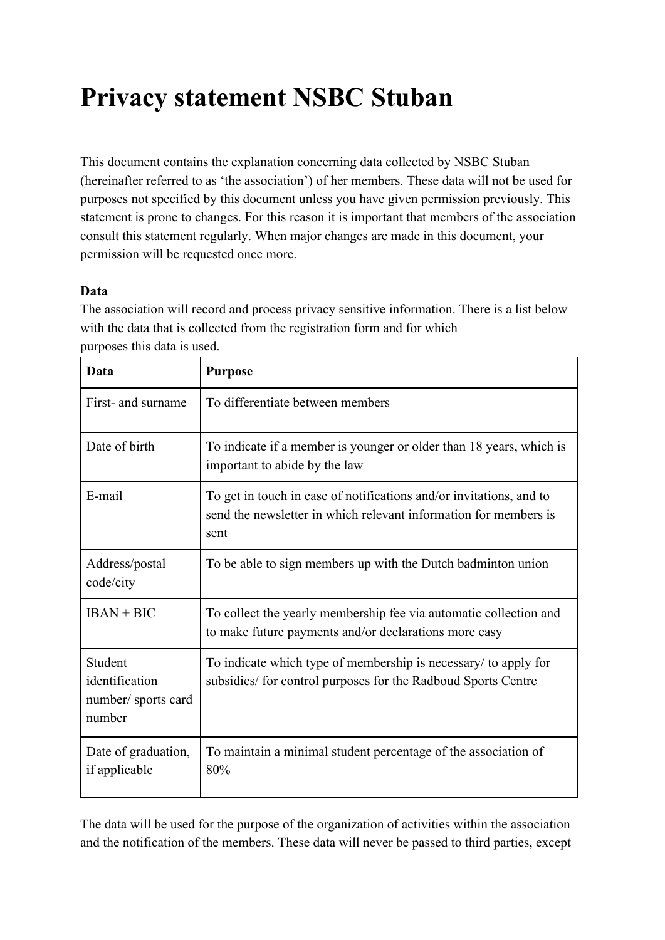# **Privacy statement NSBC Stuban**

This document contains the explanation concerning data collected by NSBC Stuban (hereinafter referred to as 'the association') of her members. These data will not be used for purposes not specified by this document unless you have given permission previously. This statement is prone to changes. For this reason it is important that members of the association consult this statement regularly. When major changes are made in this document, your permission will be requested once more.

## **Data**

The association will record and process privacy sensitive information. There is a list below with the data that is collected from the registration form and for which purposes this data is used.

| Data                                                      | <b>Purpose</b>                                                                                                                                  |
|-----------------------------------------------------------|-------------------------------------------------------------------------------------------------------------------------------------------------|
| First- and surname                                        | To differentiate between members                                                                                                                |
| Date of birth                                             | To indicate if a member is younger or older than 18 years, which is<br>important to abide by the law                                            |
| E-mail                                                    | To get in touch in case of notifications and/or invitations, and to<br>send the newsletter in which relevant information for members is<br>sent |
| Address/postal<br>code/city                               | To be able to sign members up with the Dutch badminton union                                                                                    |
| $IBAN + BIC$                                              | To collect the yearly membership fee via automatic collection and<br>to make future payments and/or declarations more easy                      |
| Student<br>identification<br>number/sports card<br>number | To indicate which type of membership is necessary/ to apply for<br>subsidies/ for control purposes for the Radboud Sports Centre                |
| Date of graduation,<br>if applicable                      | To maintain a minimal student percentage of the association of<br>80%                                                                           |

The data will be used for the purpose of the organization of activities within the association and the notification of the members. These data will never be passed to third parties, except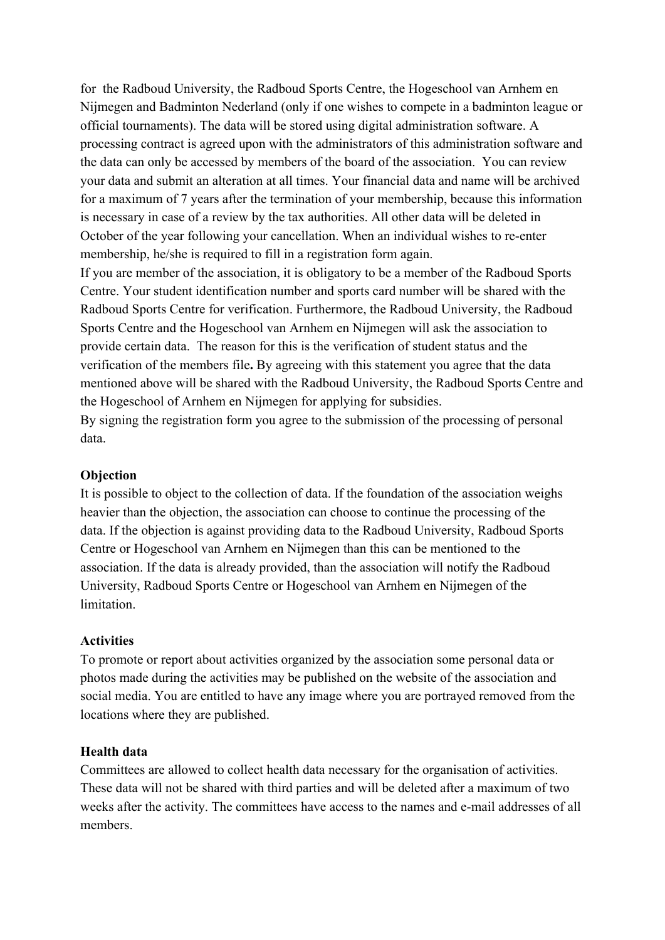for the Radboud University, the Radboud Sports Centre, the Hogeschool van Arnhem en Nijmegen and Badminton Nederland (only if one wishes to compete in a badminton league or official tournaments). The data will be stored using digital administration software. A processing contract is agreed upon with the administrators of this administration software and the data can only be accessed by members of the board of the association. You can review your data and submit an alteration at all times. Your financial data and name will be archived for a maximum of 7 years after the termination of your membership, because this information is necessary in case of a review by the tax authorities. All other data will be deleted in October of the year following your cancellation. When an individual wishes to re-enter membership, he/she is required to fill in a registration form again.

If you are member of the association, it is obligatory to be a member of the Radboud Sports Centre. Your student identification number and sports card number will be shared with the Radboud Sports Centre for verification. Furthermore, the Radboud University, the Radboud Sports Centre and the Hogeschool van Arnhem en Nijmegen will ask the association to provide certain data. The reason for this is the verification of student status and the verification of the members file**.** By agreeing with this statement you agree that the data mentioned above will be shared with the Radboud University, the Radboud Sports Centre and the Hogeschool of Arnhem en Nijmegen for applying for subsidies.

By signing the registration form you agree to the submission of the processing of personal data.

#### **Objection**

It is possible to object to the collection of data. If the foundation of the association weighs heavier than the objection, the association can choose to continue the processing of the data. If the objection is against providing data to the Radboud University, Radboud Sports Centre or Hogeschool van Arnhem en Nijmegen than this can be mentioned to the association. If the data is already provided, than the association will notify the Radboud University, Radboud Sports Centre or Hogeschool van Arnhem en Nijmegen of the limitation.

#### **Activities**

To promote or report about activities organized by the association some personal data or photos made during the activities may be published on the website of the association and social media. You are entitled to have any image where you are portrayed removed from the locations where they are published.

#### **Health data**

Committees are allowed to collect health data necessary for the organisation of activities. These data will not be shared with third parties and will be deleted after a maximum of two weeks after the activity. The committees have access to the names and e-mail addresses of all members.